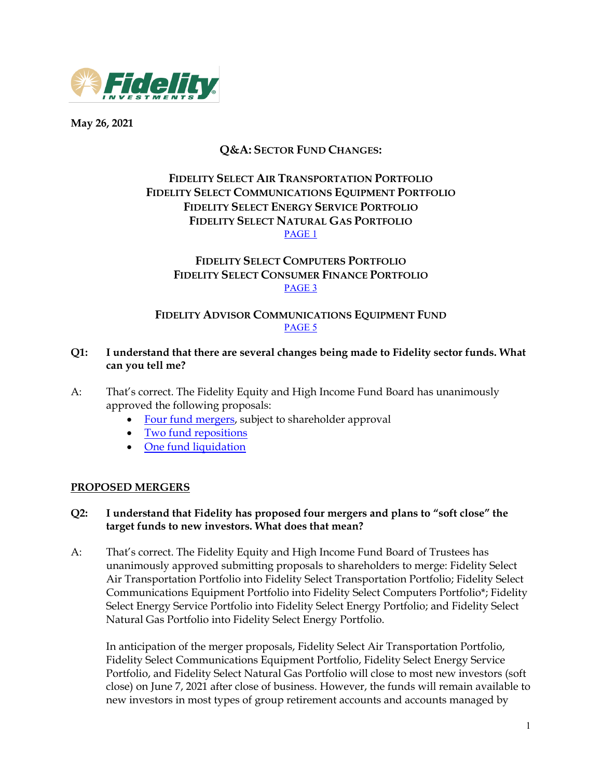

**May 26, 2021**

# **Q&A: SECTOR FUND CHANGES:**

# **FIDELITY SELECT AIR TRANSPORTATION PORTFOLIO FIDELITY SELECT COMMUNICATIONS EQUIPMENT PORTFOLIO FIDELITY SELECT ENERGY SERVICE PORTFOLIO FIDELITY SELECT NATURAL GAS PORTFOLIO** [PAGE 1](#page-0-0)

### **FIDELITY SELECT COMPUTERS PORTFOLIO FIDELITY SELECT CONSUMER FINANCE PORTFOLIO** [PAGE 3](#page-2-0)

# **FIDELITY ADVISOR COMMUNICATIONS EQUIPMENT FUND** [PAGE 5](#page-4-0)

### **Q1: I understand that there are several changes being made to Fidelity sector funds. What can you tell me?**

- A: That's correct. The Fidelity Equity and High Income Fund Board has unanimously approved the following proposals:
	- [Four fund mergers,](#page-0-0) subject to shareholder approval
	- [Two fund repositions](#page-2-0)
	- [One fund liquidation](#page-4-0)

### <span id="page-0-0"></span>**PROPOSED MERGERS**

### **Q2: I understand that Fidelity has proposed four mergers and plans to "soft close" the target funds to new investors. What does that mean?**

A: That's correct. The Fidelity Equity and High Income Fund Board of Trustees has unanimously approved submitting proposals to shareholders to merge: Fidelity Select Air Transportation Portfolio into Fidelity Select Transportation Portfolio; Fidelity Select Communications Equipment Portfolio into Fidelity Select Computers Portfolio\*; Fidelity Select Energy Service Portfolio into Fidelity Select Energy Portfolio; and Fidelity Select Natural Gas Portfolio into Fidelity Select Energy Portfolio.

In anticipation of the merger proposals, Fidelity Select Air Transportation Portfolio, Fidelity Select Communications Equipment Portfolio, Fidelity Select Energy Service Portfolio, and Fidelity Select Natural Gas Portfolio will close to most new investors (soft close) on June 7, 2021 after close of business. However, the funds will remain available to new investors in most types of group retirement accounts and accounts managed by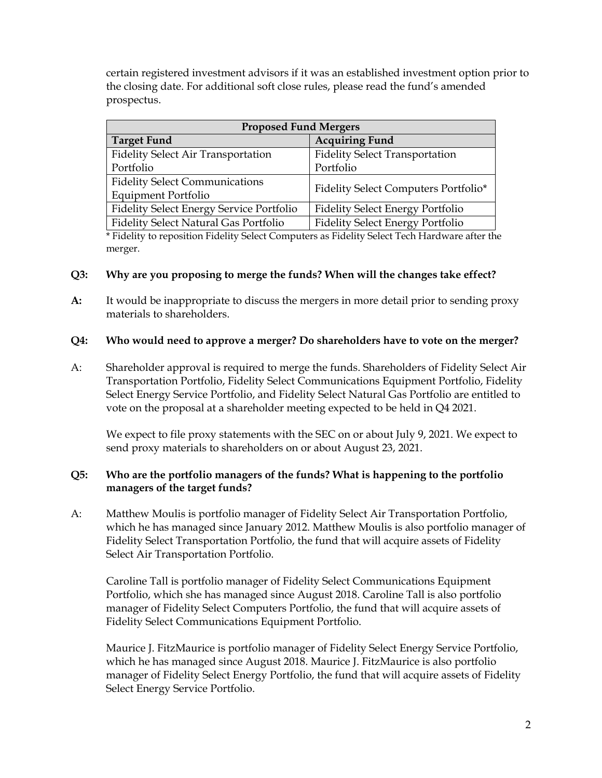certain registered investment advisors if it was an established investment option prior to the closing date. For additional soft close rules, please read the fund's amended prospectus.

| <b>Proposed Fund Mergers</b>                    |                                         |  |  |
|-------------------------------------------------|-----------------------------------------|--|--|
| <b>Target Fund</b>                              | <b>Acquiring Fund</b>                   |  |  |
| Fidelity Select Air Transportation              | <b>Fidelity Select Transportation</b>   |  |  |
| Portfolio                                       | Portfolio                               |  |  |
| <b>Fidelity Select Communications</b>           | Fidelity Select Computers Portfolio*    |  |  |
| <b>Equipment Portfolio</b>                      |                                         |  |  |
| <b>Fidelity Select Energy Service Portfolio</b> | <b>Fidelity Select Energy Portfolio</b> |  |  |
| Fidelity Select Natural Gas Portfolio           | <b>Fidelity Select Energy Portfolio</b> |  |  |

\* Fidelity to reposition Fidelity Select Computers as Fidelity Select Tech Hardware after the merger.

### **Q3: Why are you proposing to merge the funds? When will the changes take effect?**

**A:** It would be inappropriate to discuss the mergers in more detail prior to sending proxy materials to shareholders.

## **Q4: Who would need to approve a merger? Do shareholders have to vote on the merger?**

A: Shareholder approval is required to merge the funds. Shareholders of Fidelity Select Air Transportation Portfolio, Fidelity Select Communications Equipment Portfolio, Fidelity Select Energy Service Portfolio, and Fidelity Select Natural Gas Portfolio are entitled to vote on the proposal at a shareholder meeting expected to be held in Q4 2021.

We expect to file proxy statements with the SEC on or about July 9, 2021. We expect to send proxy materials to shareholders on or about August 23, 2021.

## **Q5: Who are the portfolio managers of the funds? What is happening to the portfolio managers of the target funds?**

A: Matthew Moulis is portfolio manager of Fidelity Select Air Transportation Portfolio, which he has managed since January 2012. Matthew Moulis is also portfolio manager of Fidelity Select Transportation Portfolio, the fund that will acquire assets of Fidelity Select Air Transportation Portfolio.

Caroline Tall is portfolio manager of Fidelity Select Communications Equipment Portfolio, which she has managed since August 2018. Caroline Tall is also portfolio manager of Fidelity Select Computers Portfolio, the fund that will acquire assets of Fidelity Select Communications Equipment Portfolio.

Maurice J. FitzMaurice is portfolio manager of Fidelity Select Energy Service Portfolio, which he has managed since August 2018. Maurice J. FitzMaurice is also portfolio manager of Fidelity Select Energy Portfolio, the fund that will acquire assets of Fidelity Select Energy Service Portfolio.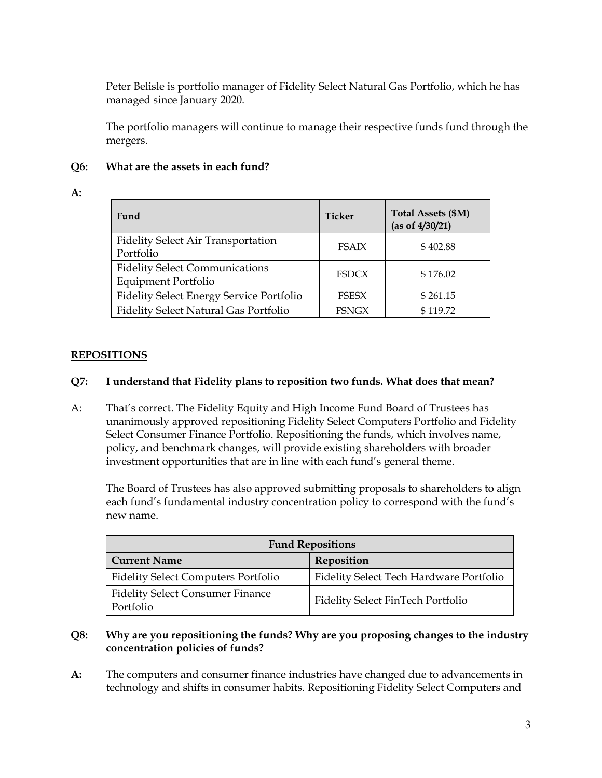Peter Belisle is portfolio manager of Fidelity Select Natural Gas Portfolio, which he has managed since January 2020.

The portfolio managers will continue to manage their respective funds fund through the mergers.

#### **Q6: What are the assets in each fund?**

#### **A:**

| Fund                                                                | Ticker       | Total Assets (\$M)<br>(as of 4/30/21) |
|---------------------------------------------------------------------|--------------|---------------------------------------|
| <b>Fidelity Select Air Transportation</b><br>Portfolio              | <b>FSAIX</b> | \$402.88                              |
| <b>Fidelity Select Communications</b><br><b>Equipment Portfolio</b> | <b>FSDCX</b> | \$176.02                              |
| <b>Fidelity Select Energy Service Portfolio</b>                     | FSESX        | \$261.15                              |
| Fidelity Select Natural Gas Portfolio                               | <b>FSNGX</b> | \$119.72                              |

## <span id="page-2-0"></span>**REPOSITIONS**

### **Q7: I understand that Fidelity plans to reposition two funds. What does that mean?**

A: That's correct. The Fidelity Equity and High Income Fund Board of Trustees has unanimously approved repositioning Fidelity Select Computers Portfolio and Fidelity Select Consumer Finance Portfolio. Repositioning the funds, which involves name, policy, and benchmark changes, will provide existing shareholders with broader investment opportunities that are in line with each fund's general theme.

The Board of Trustees has also approved submitting proposals to shareholders to align each fund's fundamental industry concentration policy to correspond with the fund's new name.

| <b>Fund Repositions</b>                              |                                         |  |  |
|------------------------------------------------------|-----------------------------------------|--|--|
| <b>Current Name</b>                                  | Reposition                              |  |  |
| <b>Fidelity Select Computers Portfolio</b>           | Fidelity Select Tech Hardware Portfolio |  |  |
| <b>Fidelity Select Consumer Finance</b><br>Portfolio | Fidelity Select FinTech Portfolio       |  |  |

### **Q8: Why are you repositioning the funds? Why are you proposing changes to the industry concentration policies of funds?**

**A:** The computers and consumer finance industries have changed due to advancements in technology and shifts in consumer habits. Repositioning Fidelity Select Computers and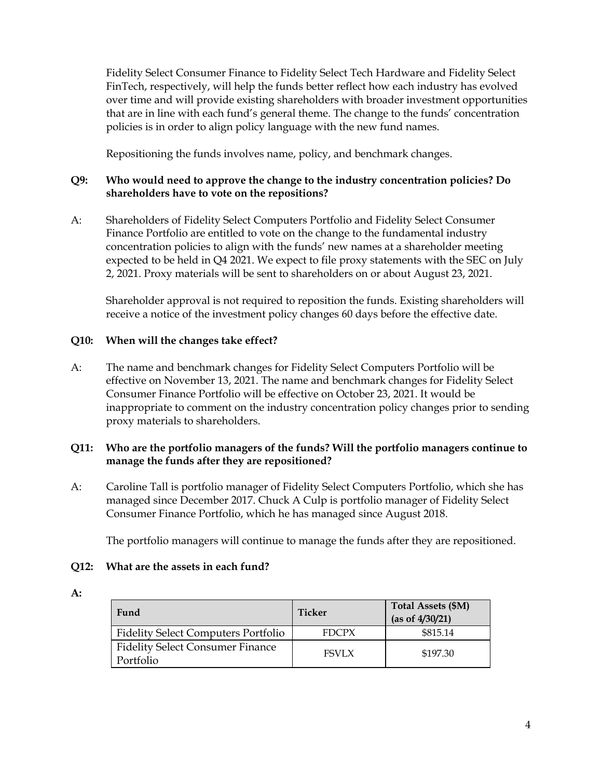Fidelity Select Consumer Finance to Fidelity Select Tech Hardware and Fidelity Select FinTech, respectively, will help the funds better reflect how each industry has evolved over time and will provide existing shareholders with broader investment opportunities that are in line with each fund's general theme. The change to the funds' concentration policies is in order to align policy language with the new fund names.

Repositioning the funds involves name, policy, and benchmark changes.

## **Q9: Who would need to approve the change to the industry concentration policies? Do shareholders have to vote on the repositions?**

A: Shareholders of Fidelity Select Computers Portfolio and Fidelity Select Consumer Finance Portfolio are entitled to vote on the change to the fundamental industry concentration policies to align with the funds' new names at a shareholder meeting expected to be held in Q4 2021. We expect to file proxy statements with the SEC on July 2, 2021. Proxy materials will be sent to shareholders on or about August 23, 2021.

Shareholder approval is not required to reposition the funds. Existing shareholders will receive a notice of the investment policy changes 60 days before the effective date.

# **Q10: When will the changes take effect?**

A: The name and benchmark changes for Fidelity Select Computers Portfolio will be effective on November 13, 2021. The name and benchmark changes for Fidelity Select Consumer Finance Portfolio will be effective on October 23, 2021. It would be inappropriate to comment on the industry concentration policy changes prior to sending proxy materials to shareholders.

### **Q11: Who are the portfolio managers of the funds? Will the portfolio managers continue to manage the funds after they are repositioned?**

A: Caroline Tall is portfolio manager of Fidelity Select Computers Portfolio, which she has managed since December 2017. Chuck A Culp is portfolio manager of Fidelity Select Consumer Finance Portfolio, which he has managed since August 2018.

The portfolio managers will continue to manage the funds after they are repositioned.

### **Q12: What are the assets in each fund?**

|  | $\sim$ |
|--|--------|
|  | $\sim$ |

| Fund                                                 | <b>Ticker</b> | <b>Total Assets (\$M)</b><br>(as of 4/30/21) |
|------------------------------------------------------|---------------|----------------------------------------------|
| <b>Fidelity Select Computers Portfolio</b>           | <b>FDCPX</b>  | \$815.14                                     |
| <b>Fidelity Select Consumer Finance</b><br>Portfolio | <b>FSVLX</b>  | \$197.30                                     |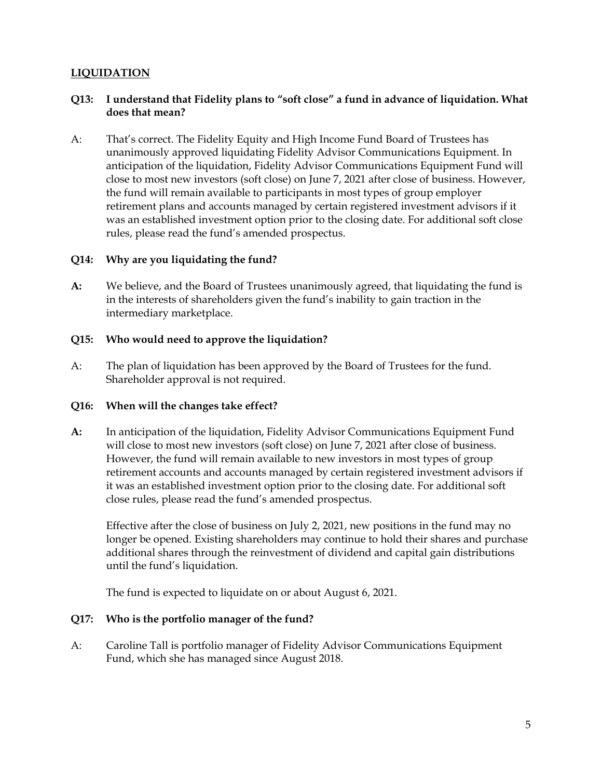# <span id="page-4-0"></span>**LIQUIDATION**

### **Q13: I understand that Fidelity plans to "soft close" a fund in advance of liquidation. What does that mean?**

A: That's correct. The Fidelity Equity and High Income Fund Board of Trustees has unanimously approved liquidating Fidelity Advisor Communications Equipment. In anticipation of the liquidation, Fidelity Advisor Communications Equipment Fund will close to most new investors (soft close) on June 7, 2021 after close of business. However, the fund will remain available to participants in most types of group employer retirement plans and accounts managed by certain registered investment advisors if it was an established investment option prior to the closing date. For additional soft close rules, please read the fund's amended prospectus.

### **Q14: Why are you liquidating the fund?**

**A:** We believe, and the Board of Trustees unanimously agreed, that liquidating the fund is in the interests of shareholders given the fund's inability to gain traction in the intermediary marketplace.

#### **Q15: Who would need to approve the liquidation?**

A: The plan of liquidation has been approved by the Board of Trustees for the fund. Shareholder approval is not required.

### **Q16: When will the changes take effect?**

**A:** In anticipation of the liquidation, Fidelity Advisor Communications Equipment Fund will close to most new investors (soft close) on June 7, 2021 after close of business. However, the fund will remain available to new investors in most types of group retirement accounts and accounts managed by certain registered investment advisors if it was an established investment option prior to the closing date. For additional soft close rules, please read the fund's amended prospectus.

Effective after the close of business on July 2, 2021, new positions in the fund may no longer be opened. Existing shareholders may continue to hold their shares and purchase additional shares through the reinvestment of dividend and capital gain distributions until the fund's liquidation.

The fund is expected to liquidate on or about August 6, 2021.

### **Q17: Who is the portfolio manager of the fund?**

A: Caroline Tall is portfolio manager of Fidelity Advisor Communications Equipment Fund, which she has managed since August 2018.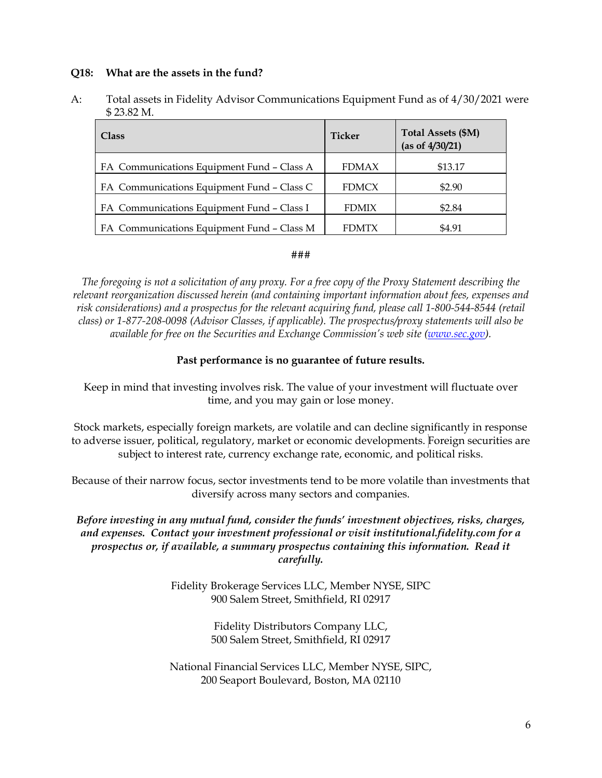#### **Q18: What are the assets in the fund?**

A: Total assets in Fidelity Advisor Communications Equipment Fund as of 4/30/2021 were \$ 23.82 M.

| <b>Class</b>                               | Ticker       | Total Assets (\$M)<br>(as of 4/30/21) |
|--------------------------------------------|--------------|---------------------------------------|
| FA Communications Equipment Fund - Class A | <b>FDMAX</b> | \$13.17                               |
| FA Communications Equipment Fund - Class C | <b>FDMCX</b> | \$2.90                                |
| FA Communications Equipment Fund - Class I | <b>FDMIX</b> | \$2.84                                |
| FA Communications Equipment Fund - Class M | <b>FDMTX</b> | \$4.91                                |

#### ###

*The foregoing is not a solicitation of any proxy. For a free copy of the Proxy Statement describing the relevant reorganization discussed herein (and containing important information about fees, expenses and risk considerations) and a prospectus for the relevant acquiring fund, please call 1-800-544-8544 (retail class) or 1-877-208-0098 (Advisor Classes, if applicable). The prospectus/proxy statements will also be available for free on the Securities and Exchange Commission's web site [\(www.sec.gov\)](https://www.sec.gov/).*

### **Past performance is no guarantee of future results.**

Keep in mind that investing involves risk. The value of your investment will fluctuate over time, and you may gain or lose money.

Stock markets, especially foreign markets, are volatile and can decline significantly in response to adverse issuer, political, regulatory, market or economic developments. Foreign securities are subject to interest rate, currency exchange rate, economic, and political risks.

Because of their narrow focus, sector investments tend to be more volatile than investments that diversify across many sectors and companies.

### *Before investing in any mutual fund, consider the funds' investment objectives, risks, charges, and expenses. Contact your investment professional or visit institutional.fidelity.com for a prospectus or, if available, a summary prospectus containing this information. Read it carefully.*

Fidelity Brokerage Services LLC, Member NYSE, SIPC 900 Salem Street, Smithfield, RI 02917

> Fidelity Distributors Company LLC, 500 Salem Street, Smithfield, RI 02917

National Financial Services LLC, Member NYSE, SIPC, 200 Seaport Boulevard, Boston, MA 02110